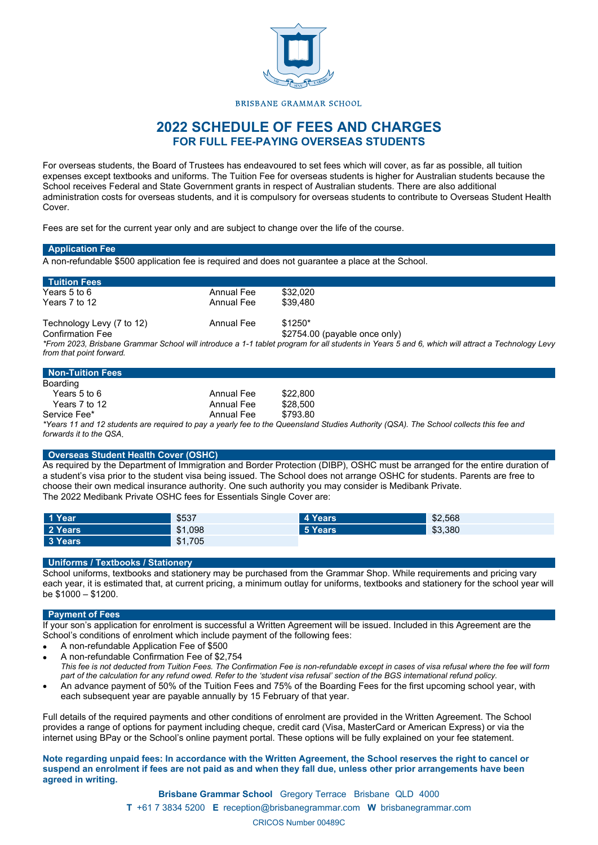

### BRISBANE GRAMMAR SCHOOL

# **2022 SCHEDULE OF FEES AND CHARGES FOR FULL FEE-PAYING OVERSEAS STUDENTS**

For overseas students, the Board of Trustees has endeavoured to set fees which will cover, as far as possible, all tuition expenses except textbooks and uniforms. The Tuition Fee for overseas students is higher for Australian students because the School receives Federal and State Government grants in respect of Australian students. There are also additional administration costs for overseas students, and it is compulsory for overseas students to contribute to Overseas Student Health **Cover** 

Fees are set for the current year only and are subject to change over the life of the course.

| <b>Application Fee</b>    |            |                                                                                                                                                 |
|---------------------------|------------|-------------------------------------------------------------------------------------------------------------------------------------------------|
|                           |            | A non-refundable \$500 application fee is required and does not quarantee a place at the School.                                                |
| <b>Tuition Fees</b>       |            |                                                                                                                                                 |
| Years 5 to 6              | Annual Fee | \$32,020                                                                                                                                        |
| Years 7 to 12             | Annual Fee | \$39,480                                                                                                                                        |
| Technology Levy (7 to 12) | Annual Fee | $$1250*$                                                                                                                                        |
| <b>Confirmation Fee</b>   |            | $$2754.00$ (payable once only)                                                                                                                  |
|                           |            | *From 2023, Brisbane Grammar School will introduce a 1-1 tablet program for all students in Years 5 and 6, which will attract a Technology Levy |
| from that point forward.  |            |                                                                                                                                                 |
|                           |            |                                                                                                                                                 |

| Non-Tuition Fees |            |          |
|------------------|------------|----------|
| Boarding         |            |          |
| Years 5 to 6     | Annual Fee | \$22,800 |
| Years 7 to 12    | Annual Fee | \$28,500 |
| Service Fee*     | Annual Fee | \$793.80 |

*\*Years 11 and 12 students are required to pay a yearly fee to the Queensland Studies Authority (QSA). The School collects this fee and forwards it to the QSA.*

### **Overseas Student Health Cover (OSHC)**

As required by the Department of Immigration and Border Protection (DIBP), OSHC must be arranged for the entire duration of a student's visa prior to the student visa being issued. The School does not arrange OSHC for students. Parents are free to choose their own medical insurance authority. One such authority you may consider is Medibank Private. The 2022 Medibank Private OSHC fees for Essentials Single Cover are:

| 1 Year  | \$537   | 4 Years | \$2,568 |
|---------|---------|---------|---------|
| 2 Years | \$1.098 | 5 Years | \$3,380 |
| 3 Years | \$1,705 |         |         |

## **Uniforms / Textbooks / Stationery**

School uniforms, textbooks and stationery may be purchased from the Grammar Shop. While requirements and pricing vary each year, it is estimated that, at current pricing, a minimum outlay for uniforms, textbooks and stationery for the school year will be \$1000 – \$1200.

#### **Payment of Fees**

If your son's application for enrolment is successful a Written Agreement will be issued. Included in this Agreement are the School's conditions of enrolment which include payment of the following fees:

- A non-refundable Application Fee of \$500
- A non-refundable Confirmation Fee of \$2,754 *This fee is not deducted from Tuition Fees. The Confirmation Fee is non-refundable except in cases of visa refusal where the fee will form part of the calculation for any refund owed. Refer to the 'student visa refusal' section of the BGS international refund policy.*
- An advance payment of 50% of the Tuition Fees and 75% of the Boarding Fees for the first upcoming school year, with each subsequent year are payable annually by 15 February of that year.

Full details of the required payments and other conditions of enrolment are provided in the Written Agreement. The School provides a range of options for payment including cheque, credit card (Visa, MasterCard or American Express) or via the internet using BPay or the School's online payment portal. These options will be fully explained on your fee statement.

**Note regarding unpaid fees: In accordance with the Written Agreement, the School reserves the right to cancel or suspend an enrolment if fees are not paid as and when they fall due, unless other prior arrangements have been agreed in writing.**

> **Brisbane Grammar School** Gregory Terrace Brisbane QLD 4000 **T** +61 7 3834 5200 **E** receptio[n@brisbanegrammar.com](mailto:reception@brisbanegrammar.com) **W** brisbanegrammar.com CRICOS Number 00489C